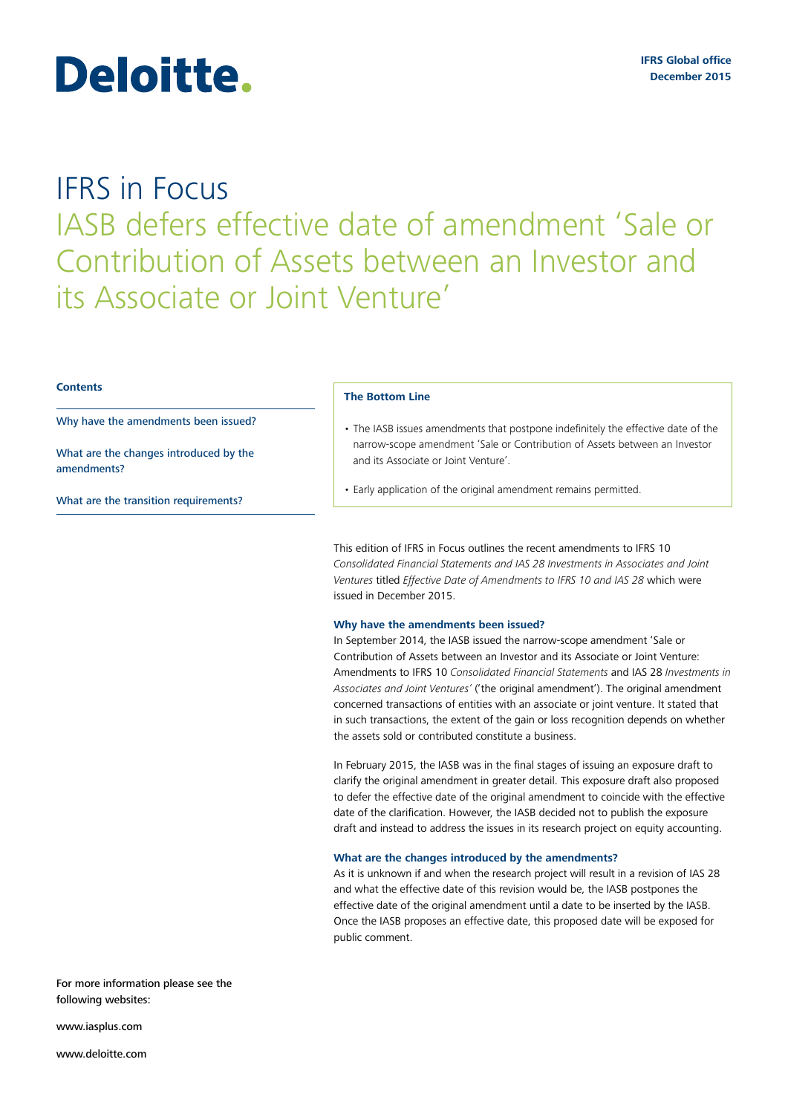# Deloitte.

# IFRS in Focus IASB defers effective date of amendment 'Sale or Contribution of Assets between an Investor and its Associate or Joint Venture'

# **Contents**

Why have the amendments been issued?

What are the changes introduced by the amendments?

What are the transition requirements?

# **The Bottom Line**

- The IASB issues amendments that postpone indefinitely the effective date of the narrow-scope amendment 'Sale or Contribution of Assets between an Investor and its Associate or Joint Venture'.
- Early application of the original amendment remains permitted.

This edition of IFRS in Focus outlines the recent amendments to IFRS 10 *Consolidated Financial Statements and IAS 28 Investments in Associates and Joint Ventures* titled *Effective Date of Amendments to IFRS 10 and IAS 28* which were issued in December 2015.

## **Why have the amendments been issued?**

In September 2014, the IASB issued the narrow-scope amendment 'Sale or Contribution of Assets between an Investor and its Associate or Joint Venture: Amendments to IFRS 10 *Consolidated Financial Statements* and IAS 28 *Investments in Associates and Joint Ventures'* ('the original amendment'). The original amendment concerned transactions of entities with an associate or joint venture. It stated that in such transactions, the extent of the gain or loss recognition depends on whether the assets sold or contributed constitute a business.

In February 2015, the IASB was in the final stages of issuing an exposure draft to clarify the original amendment in greater detail. This exposure draft also proposed to defer the effective date of the original amendment to coincide with the effective date of the clarification. However, the IASB decided not to publish the exposure draft and instead to address the issues in its research project on equity accounting.

#### **What are the changes introduced by the amendments?**

As it is unknown if and when the research project will result in a revision of IAS 28 and what the effective date of this revision would be, the IASB postpones the effective date of the original amendment until a date to be inserted by the IASB. Once the IASB proposes an effective date, this proposed date will be exposed for public comment.

For more information please see the following websites:

<www.iasplus.com>

<www.deloitte.com>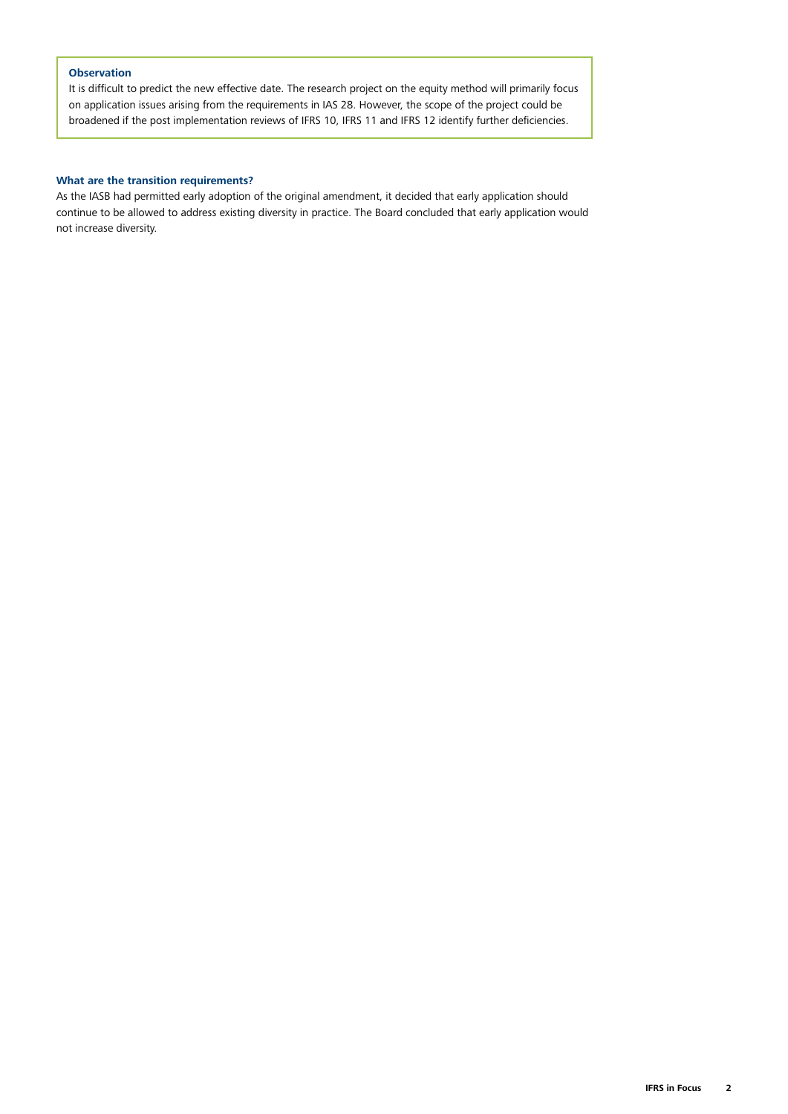# **Observation**

It is difficult to predict the new effective date. The research project on the equity method will primarily focus on application issues arising from the requirements in IAS 28. However, the scope of the project could be broadened if the post implementation reviews of IFRS 10, IFRS 11 and IFRS 12 identify further deficiencies.

# **What are the transition requirements?**

As the IASB had permitted early adoption of the original amendment, it decided that early application should continue to be allowed to address existing diversity in practice. The Board concluded that early application would not increase diversity.